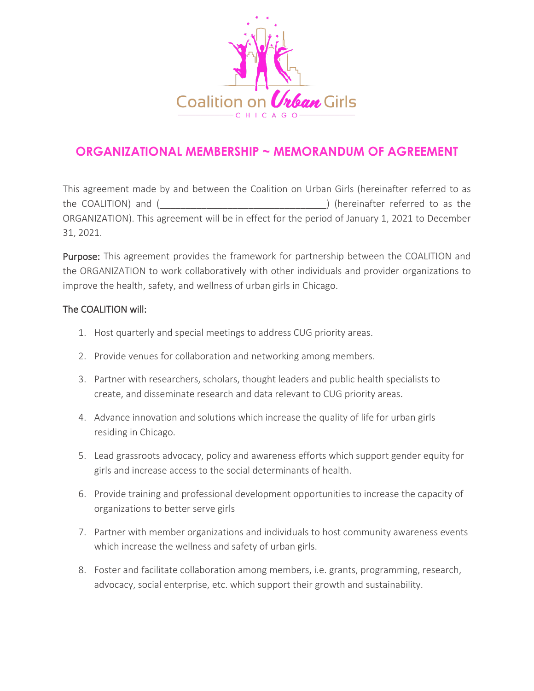

## **ORGANIZATIONAL MEMBERSHIP ~ MEMORANDUM OF AGREEMENT**

This agreement made by and between the Coalition on Urban Girls (hereinafter referred to as the COALITION) and (  $\qquad \qquad$  ) (hereinafter referred to as the ORGANIZATION). This agreement will be in effect for the period of January 1, 2021 to December 31, 2021.

Purpose: This agreement provides the framework for partnership between the COALITION and the ORGANIZATION to work collaboratively with other individuals and provider organizations to improve the health, safety, and wellness of urban girls in Chicago.

## The COALITION will:

- 1. Host quarterly and special meetings to address CUG priority areas.
- 2. Provide venues for collaboration and networking among members.
- 3. Partner with researchers, scholars, thought leaders and public health specialists to create, and disseminate research and data relevant to CUG priority areas.
- 4. Advance innovation and solutions which increase the quality of life for urban girls residing in Chicago.
- 5. Lead grassroots advocacy, policy and awareness efforts which support gender equity for girls and increase access to the social determinants of health.
- 6. Provide training and professional development opportunities to increase the capacity of organizations to better serve girls
- 7. Partner with member organizations and individuals to host community awareness events which increase the wellness and safety of urban girls.
- 8. Foster and facilitate collaboration among members, i.e. grants, programming, research, advocacy, social enterprise, etc. which support their growth and sustainability.